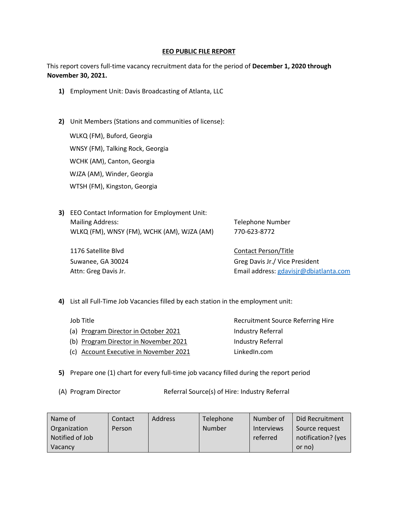## **EEO PUBLIC FILE REPORT**

This report covers full-time vacancy recruitment data for the period of **December 1, 2020 through November 30, 2021.** 

- **1)** Employment Unit: Davis Broadcasting of Atlanta, LLC
- **2)** Unit Members (Stations and communities of license):

WLKQ (FM), Buford, Georgia WNSY (FM), Talking Rock, Georgia WCHK (AM), Canton, Georgia WJZA (AM), Winder, Georgia WTSH (FM), Kingston, Georgia

**3)** EEO Contact Information for Employment Unit: Mailing Address: Telephone Number WLKQ (FM), WNSY (FM), WCHK (AM), WJZA (AM) 770-623-8772

1176 Satellite Blvd **Contact Person**/Title

Suwanee, GA 30024 Greg Davis Jr./ Vice President Attn: Greg Davis Jr. **Email address: gdavisjr@dbiatlanta.com** 

- **4)** List all Full-Time Job Vacancies filled by each station in the employment unit:
	- Job Title **The Community Community** Recruitment Source Referring Hire (a) Program Director in October 2021 Industry Referral (b) Program Director in November 2021 Industry Referral (c) Account Executive in November 2021 LinkedIn.com
- **5)** Prepare one (1) chart for every full-time job vacancy filled during the report period
- 

(A) Program Director Referral Source(s) of Hire: Industry Referral

| Name of         | Contact | <b>Address</b> | Telephone | Number of         | l Did Recruitment  |
|-----------------|---------|----------------|-----------|-------------------|--------------------|
| Organization    | Person  |                | Number    | <b>Interviews</b> | Source request     |
| Notified of Job |         |                |           | referred          | notification? (yes |
| Vacancy         |         |                |           |                   | or no)             |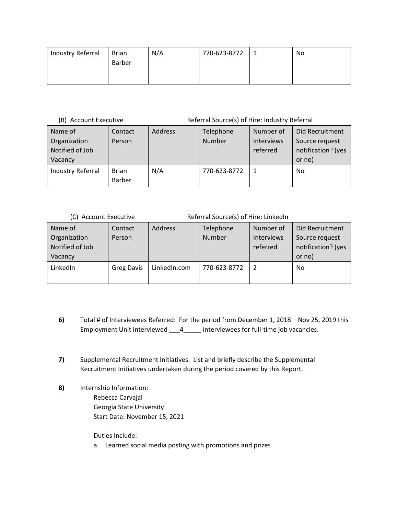| Industry Referral | Brian         | N/A | 770-623-8772 | No |
|-------------------|---------------|-----|--------------|----|
|                   | <b>Barber</b> |     |              |    |
|                   |               |     |              |    |
|                   |               |     |              |    |

(B) Account Executive Referral Source(s) of Hire: Industry Referral

| Name of<br>Organization<br>Notified of Job<br>Vacancy | Contact<br>Person             | Address | Telephone<br>Number | Number of<br><b>Interviews</b><br>referred | Did Recruitment<br>Source request<br>notification? (yes<br>or no) |
|-------------------------------------------------------|-------------------------------|---------|---------------------|--------------------------------------------|-------------------------------------------------------------------|
| Industry Referral                                     | <b>Brian</b><br><b>Barber</b> | N/A     | 770-623-8772        |                                            | No                                                                |

| (C) Account Executive                      |                   | Referral Source(s) of Hire: LinkedIn |                            |                                            |                                                         |
|--------------------------------------------|-------------------|--------------------------------------|----------------------------|--------------------------------------------|---------------------------------------------------------|
| Name of<br>Organization<br>Notified of Job | Contact<br>Person | <b>Address</b>                       | Telephone<br><b>Number</b> | Number of<br><b>Interviews</b><br>referred | Did Recruitment<br>Source request<br>notification? (yes |
| Vacancy                                    |                   |                                      |                            |                                            | or no)                                                  |
| LinkedIn                                   | <b>Greg Davis</b> | LinkedIn.com                         | 770-623-8772               |                                            | No                                                      |

- **6)** Total # of Interviewees Referred: For the period from December 1, 2018 Nov 25, 2019 this Employment Unit interviewed \_\_\_4\_\_\_\_\_ interviewees for full-time job vacancies.
- **7)** Supplemental Recruitment Initiatives. List and briefly describe the Supplemental Recruitment Initiatives undertaken during the period covered by this Report.
- **8)** Internship Information: Rebecca Carvajal Georgia State University Start Date: November 15, 2021

Duties Include:

a. Learned social media posting with promotions and prizes